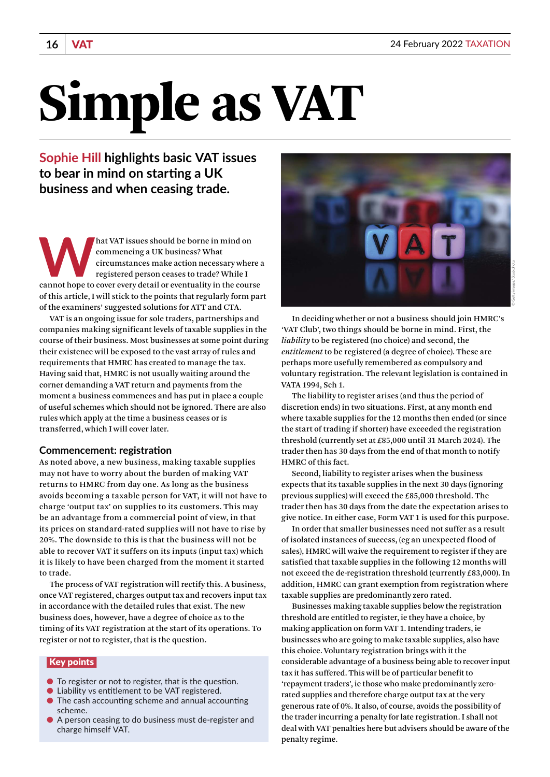# Simple as VAT

**Sophie Hill highlights basic VAT issues to bear in mind on starting a UK business and when ceasing trade.**

**What VAT issues should be borne in mind on**<br>
commencing a UK business? What<br>
circumstances make action necessary where a<br>
registered person ceases to trade? While I<br>
cannot hope to cover every detail or eventuality in the commencing a UK business? What circumstances make action necessary where a registered person ceases to trade? While I of this article, I will stick to the points that regularly form part of the examiners' suggested solutions for ATT and CTA.

VAT is an ongoing issue for sole traders, partnerships and companies making significant levels of taxable supplies in the course of their business. Most businesses at some point during their existence will be exposed to the vast array of rules and requirements that HMRC has created to manage the tax. Having said that, HMRC is not usually waiting around the corner demanding a VAT return and payments from the moment a business commences and has put in place a couple of useful schemes which should not be ignored. There are also rules which apply at the time a business ceases or is transferred, which I will cover later.

## **Commencement: registration**

As noted above, a new business, making taxable supplies may not have to worry about the burden of making VAT returns to HMRC from day one. As long as the business avoids becoming a taxable person for VAT, it will not have to charge 'output tax' on supplies to its customers. This may be an advantage from a commercial point of view, in that its prices on standard-rated supplies will not have to rise by 20%. The downside to this is that the business will not be able to recover VAT it suffers on its inputs (input tax) which it is likely to have been charged from the moment it started to trade.

The process of VAT registration will rectify this. A business, once VAT registered, charges output tax and recovers input tax in accordance with the detailed rules that exist. The new business does, however, have a degree of choice as to the timing of its VAT registration at the start of its operations. To register or not to register, that is the question.

# Key points

- To register or not to register, that is the question.
- Liability vs entitlement to be VAT registered.
- The cash accounting scheme and annual accounting scheme.
- A person ceasing to do business must de-register and charge himself VAT.



© Getty images/iStockphoto

In deciding whether or not a business should join HMRC's 'VAT Club', two things should be borne in mind. First, the *liability* to be registered (no choice) and second, the *entitlement* to be registered (a degree of choice). These are perhaps more usefully remembered as compulsory and voluntary registration. The relevant legislation is contained in VATA 1994, Sch 1.

The liability to register arises (and thus the period of discretion ends) in two situations. First, at any month end where taxable supplies for the 12 months then ended (or since the start of trading if shorter) have exceeded the registration threshold (currently set at £85,000 until 31 March 2024). The trader then has 30 days from the end of that month to notify HMRC of this fact.

Second, liability to register arises when the business expects that its taxable supplies in the next 30 days (ignoring previous supplies) will exceed the £85,000 threshold. The trader then has 30 days from the date the expectation arises to give notice. In either case, Form VAT 1 is used for this purpose.

In order that smaller businesses need not suffer as a result of isolated instances of success, (eg an unexpected flood of sales), HMRC will waive the requirement to register if they are satisfied that taxable supplies in the following 12 months will not exceed the de-registration threshold (currently £83,000). In addition, HMRC can grant exemption from registration where taxable supplies are predominantly zero rated.

Businesses making taxable supplies below the registration threshold are entitled to register, ie they have a choice, by making application on form VAT 1. Intending traders, ie businesses who are going to make taxable supplies, also have this choice. Voluntary registration brings with it the considerable advantage of a business being able to recover input tax it has suffered. This will be of particular benefit to 'repayment traders', ie those who make predominantly zerorated supplies and therefore charge output tax at the very generous rate of 0%. It also, of course, avoids the possibility of the trader incurring a penalty for late registration. I shall not deal with VAT penalties here but advisers should be aware of the penalty regime.